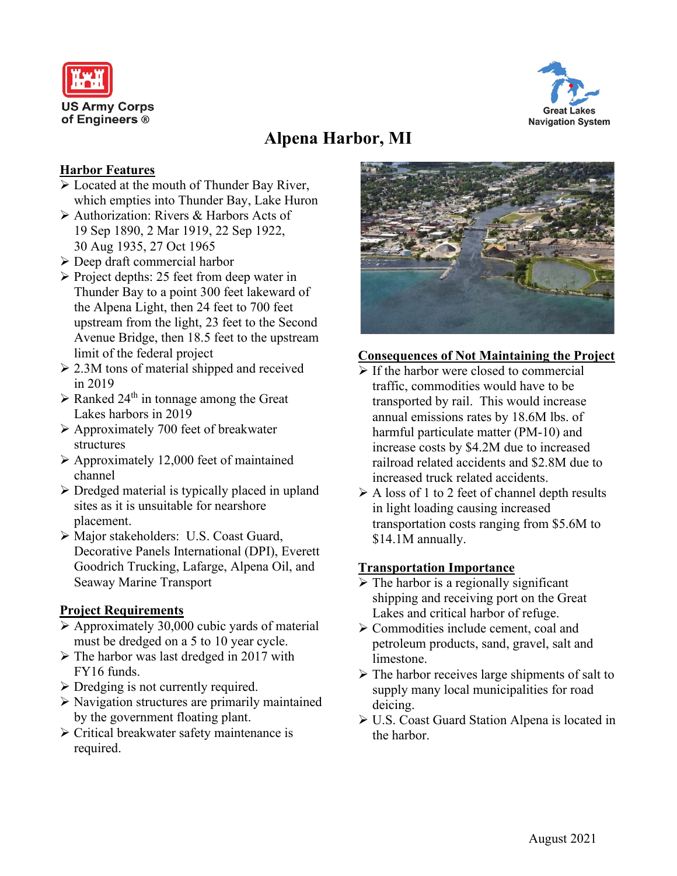



# **Alpena Harbor, MI**

### **Harbor Features**

- Located at the mouth of Thunder Bay River, which empties into Thunder Bay, Lake Huron
- Authorization: Rivers & Harbors Acts of 19 Sep 1890, 2 Mar 1919, 22 Sep 1922, 30 Aug 1935, 27 Oct 1965
- Deep draft commercial harbor
- $\triangleright$  Project depths: 25 feet from deep water in Thunder Bay to a point 300 feet lakeward of the Alpena Light, then 24 feet to 700 feet upstream from the light, 23 feet to the Second Avenue Bridge, then 18.5 feet to the upstream limit of the federal project
- $\geq$  2.3M tons of material shipped and received in 2019
- $\triangleright$  Ranked 24<sup>th</sup> in tonnage among the Great Lakes harbors in 2019
- $\triangleright$  Approximately 700 feet of breakwater structures
- $\triangleright$  Approximately 12,000 feet of maintained channel
- $\triangleright$  Dredged material is typically placed in upland sites as it is unsuitable for nearshore placement.
- Major stakeholders: U.S. Coast Guard, Decorative Panels International (DPI), Everett Goodrich Trucking, Lafarge, Alpena Oil, and Seaway Marine Transport

## **Project Requirements**

- $\triangleright$  Approximately 30,000 cubic yards of material must be dredged on a 5 to 10 year cycle.
- $\triangleright$  The harbor was last dredged in 2017 with FY16 funds.
- $\triangleright$  Dredging is not currently required.
- $\triangleright$  Navigation structures are primarily maintained by the government floating plant.
- Critical breakwater safety maintenance is required.



## **Consequences of Not Maintaining the Project**

- $\triangleright$  If the harbor were closed to commercial traffic, commodities would have to be transported by rail. This would increase annual emissions rates by 18.6M lbs. of harmful particulate matter (PM-10) and increase costs by \$4.2M due to increased railroad related accidents and \$2.8M due to increased truck related accidents.
- $\triangleright$  A loss of 1 to 2 feet of channel depth results in light loading causing increased transportation costs ranging from \$5.6M to \$14.1M annually.

### **Transportation Importance**

- $\triangleright$  The harbor is a regionally significant shipping and receiving port on the Great Lakes and critical harbor of refuge.
- $\triangleright$  Commodities include cement, coal and petroleum products, sand, gravel, salt and limestone.
- $\triangleright$  The harbor receives large shipments of salt to supply many local municipalities for road deicing.
- U.S. Coast Guard Station Alpena is located in the harbor.